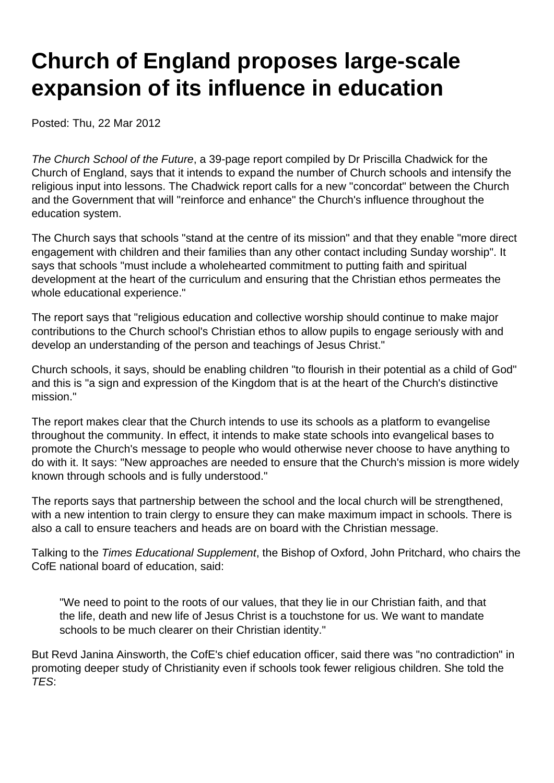# **Church of England proposes large-scale expansion of its influence in education**

Posted: Thu, 22 Mar 2012

The Church School of the Future, a 39-page report compiled by Dr Priscilla Chadwick for the Church of England, says that it intends to expand the number of Church schools and intensify the religious input into lessons. The Chadwick report calls for a new "concordat" between the Church and the Government that will "reinforce and enhance" the Church's influence throughout the education system.

The Church says that schools "stand at the centre of its mission" and that they enable "more direct engagement with children and their families than any other contact including Sunday worship". It says that schools "must include a wholehearted commitment to putting faith and spiritual development at the heart of the curriculum and ensuring that the Christian ethos permeates the whole educational experience."

The report says that "religious education and collective worship should continue to make major contributions to the Church school's Christian ethos to allow pupils to engage seriously with and develop an understanding of the person and teachings of Jesus Christ."

Church schools, it says, should be enabling children "to flourish in their potential as a child of God" and this is "a sign and expression of the Kingdom that is at the heart of the Church's distinctive mission."

The report makes clear that the Church intends to use its schools as a platform to evangelise throughout the community. In effect, it intends to make state schools into evangelical bases to promote the Church's message to people who would otherwise never choose to have anything to do with it. It says: "New approaches are needed to ensure that the Church's mission is more widely known through schools and is fully understood."

The reports says that partnership between the school and the local church will be strengthened, with a new intention to train clergy to ensure they can make maximum impact in schools. There is also a call to ensure teachers and heads are on board with the Christian message.

Talking to the Times Educational Supplement, the Bishop of Oxford, John Pritchard, who chairs the CofE national board of education, said:

"We need to point to the roots of our values, that they lie in our Christian faith, and that the life, death and new life of Jesus Christ is a touchstone for us. We want to mandate schools to be much clearer on their Christian identity."

But Revd Janina Ainsworth, the CofE's chief education officer, said there was "no contradiction" in promoting deeper study of Christianity even if schools took fewer religious children. She told the TES: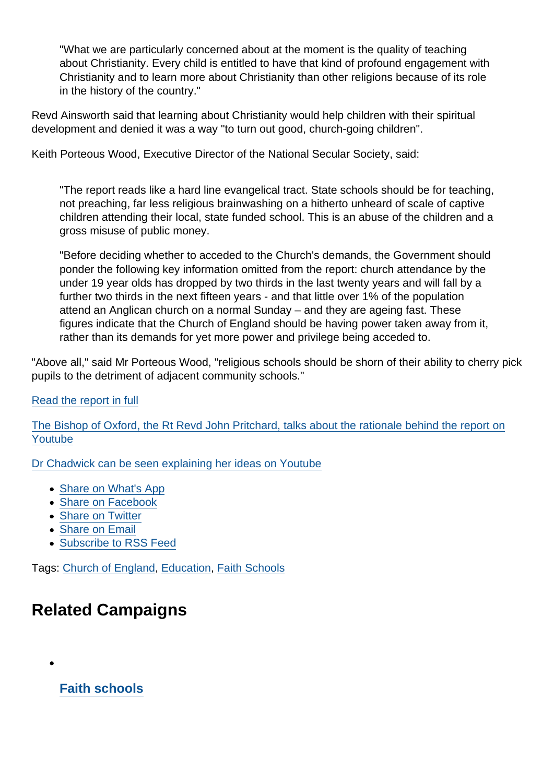"What we are particularly concerned about at the moment is the quality of teaching about Christianity. Every child is entitled to have that kind of profound engagement with Christianity and to learn more about Christianity than other religions because of its role in the history of the country."

Revd Ainsworth said that learning about Christianity would help children with their spiritual development and denied it was a way "to turn out good, church-going children".

Keith Porteous Wood, Executive Director of the National Secular Society, said:

"The report reads like a hard line evangelical tract. State schools should be for teaching, not preaching, far less religious brainwashing on a hitherto unheard of scale of captive children attending their local, state funded school. This is an abuse of the children and a gross misuse of public money.

"Before deciding whether to acceded to the Church's demands, the Government should ponder the following key information omitted from the report: church attendance by the under 19 year olds has dropped by two thirds in the last twenty years and will fall by a further two thirds in the next fifteen years - and that little over 1% of the population attend an Anglican church on a normal Sunday – and they are ageing fast. These figures indicate that the Church of England should be having power taken away from it, rather than its demands for yet more power and privilege being acceded to.

"Above all," said Mr Porteous Wood, "religious schools should be shorn of their ability to cherry pick pupils to the detriment of adjacent community schools."

#### [Read the report in full](http://www.churchofengland.org/media/1418393/the church school of the future review - march 2012[1].pdf)

[The Bishop of Oxford, the Rt Revd John Pritchard, talks about the rationale behind the report on](http://www.youtube.com/watch?v=M-WzFjb4qJM&feature=youtu.be) [Youtube](http://www.youtube.com/watch?v=M-WzFjb4qJM&feature=youtu.be)

[Dr Chadwick can be seen explaining her ideas on Youtube](http://www.youtube.com/watch?v=OX8WfCSzSFY)

- [Share on What's App](whatsapp://send?text=http://www.secularism.org.uk/news/2012/03/church-of-england-proposes-large-scale-expansion-of-its-influence-in-education?format=pdf)
- [Share on Facebook](https://www.facebook.com/sharer/sharer.php?u=http://www.secularism.org.uk/news/2012/03/church-of-england-proposes-large-scale-expansion-of-its-influence-in-education?format=pdf&t=Church+of+England+proposes+large-scale+expansion+of+its+influence+in+education)
- [Share on Twitter](https://twitter.com/intent/tweet?url=http://www.secularism.org.uk/news/2012/03/church-of-england-proposes-large-scale-expansion-of-its-influence-in-education?format=pdf&text=Church+of+England+proposes+large-scale+expansion+of+its+influence+in+education&via=NatSecSoc)
- [Share on Email](https://www.secularism.org.uk/share.html?url=http://www.secularism.org.uk/news/2012/03/church-of-england-proposes-large-scale-expansion-of-its-influence-in-education?format=pdf&title=Church+of+England+proposes+large-scale+expansion+of+its+influence+in+education)
- [Subscribe to RSS Feed](/mnt/web-data/www/cp-nss/feeds/rss/news)

Tags: [Church of England,](https://www.secularism.org.uk/news/tags/Church+of+England) [Education,](https://www.secularism.org.uk/news/tags/Education) [Faith Schools](https://www.secularism.org.uk/news/tags/Faith+Schools)

## Related Campaigns

[Faith schools](https://www.secularism.org.uk/faith-schools/)